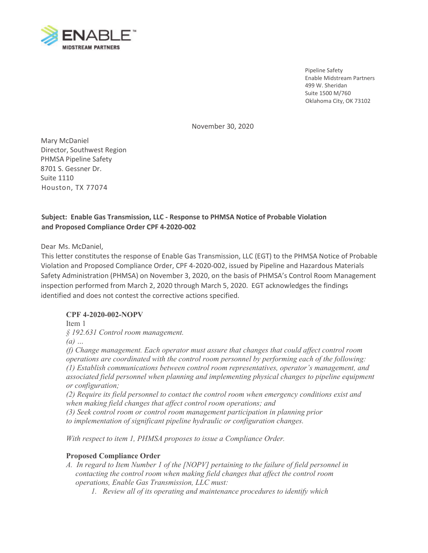

Pipeline Safety Enable Midstream Partners 499 W. Sheridan Suite 1500 M/760 Oklahoma City, OK 73102

November 30, 2020

 8701 S. Gessner Dr. Mary McDaniel Director, Southwest Region PHMSA Pipeline Safety Suite 1110 Houston, TX 77074

## **Subject: Enable Gas Transmission, LLC - Response to PHMSA Notice of Probable Violation and Proposed Compliance Order CPF 4-2020-002**

Dear Ms. McDaniel,

 This letter constitutes the response of Enable Gas Transmission, LLC (EGT) to the PHMSA Notice of Probable identified and does not contest the corrective actions specified. Violation and Proposed Compliance Order, CPF 4-2020-002, issued by Pipeline and Hazardous Materials Safety Administration (PHMSA) on November 3, 2020, on the basis of PHMSA's Control Room Management inspection performed from March 2, 2020 through March 5, 2020. EGT acknowledges the findings

## **CPF 4-2020-002-NOPV**

Item 1

*§ 192.631 Control room management.* 

*(a) …* 

*(f) Change management. Each operator must assure that changes that could affect control room operations are coordinated with the control room personnel by performing each of the following: (1) Establish communications between control room representatives, operator's management, and associated field personnel when planning and implementing physical changes to pipeline equipment or configuration;* 

*(2) Require its field personnel to contact the control room when emergency conditions exist and when making field changes that affect control room operations; and* 

*(3) Seek control room or control room management participation in planning prior* 

*to implementation of significant pipeline hydraulic or configuration changes.* 

*With respect to item 1, PHMSA proposes to issue a Compliance Order.* 

## **Proposed Compliance Order**

- *A. In regard to Item Number 1 of the [NOPV] pertaining to the failure of field personnel in contacting the control room when making field changes that affect the control room operations, Enable Gas Transmission, LLC must:* 
	- *1. Review all of its operating and maintenance procedures to identify which*